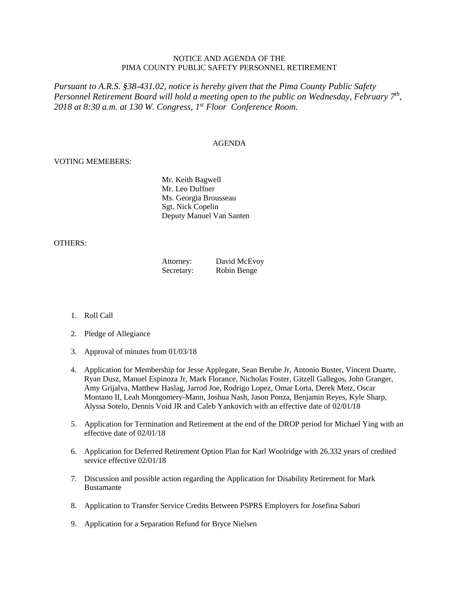## NOTICE AND AGENDA OF THE PIMA COUNTY PUBLIC SAFETY PERSONNEL RETIREMENT

*Pursuant to A.R.S. §38-431.02, notice is hereby given that the Pima County Public Safety Personnel Retirement Board will hold a meeting open to the public on Wednesday, February 7th , 2018 at 8:30 a.m. at 130 W. Congress, 1 st Floor Conference Room.*

## AGENDA

## VOTING MEMEBERS:

Mr. Keith Bagwell Mr. Leo Duffner Ms. Georgia Brousseau Sgt. Nick Copelin Deputy Manuel Van Santen

## OTHERS:

| Attorney:  | David McEvoy |
|------------|--------------|
| Secretary: | Robin Benge  |

- 1. Roll Call
- 2. Pledge of Allegiance
- 3. Approval of minutes from 01/03/18
- 4. Application for Membership for Jesse Applegate, Sean Berube Jr, Antonio Buster, Vincent Duarte, Ryan Dusz, Manuel Espinoza Jr, Mark Florance, Nicholas Foster, Gitzell Gallegos, John Granger, Amy Grijalva, Matthew Haslag, Jarrod Joe, Rodrigo Lopez, Omar Lorta, Derek Metz, Oscar Montano II, Leah Montgomery-Mann, Joshua Nash, Jason Ponza, Benjamin Reyes, Kyle Sharp, Alyssa Sotelo, Dennis Void JR and Caleb Yankovich with an effective date of 02/01/18
- 5. Application for Termination and Retirement at the end of the DROP period for Michael Ying with an effective date of 02/01/18
- 6. Application for Deferred Retirement Option Plan for Karl Woolridge with 26.332 years of credited service effective 02/01/18
- 7. Discussion and possible action regarding the Application for Disability Retirement for Mark Bustamante
- 8. Application to Transfer Service Credits Between PSPRS Employers for Josefina Sabori
- 9. Application for a Separation Refund for Bryce Nielsen